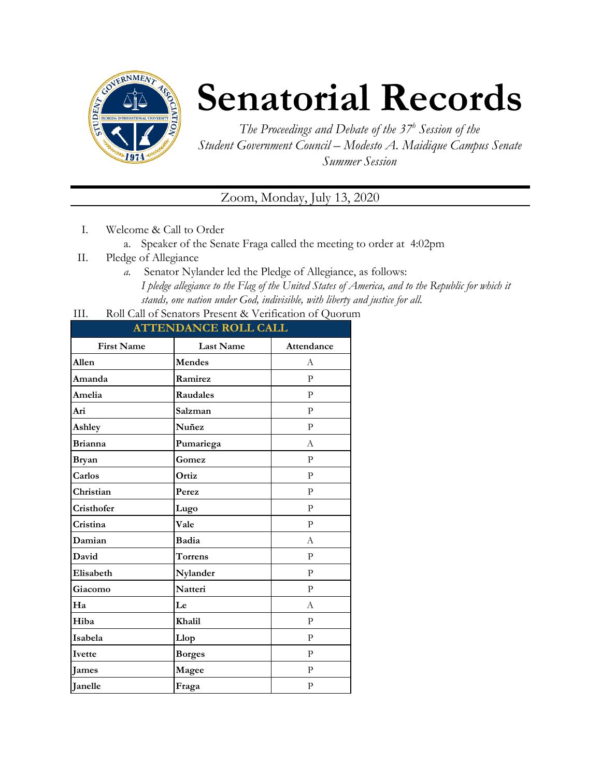

## **Senatorial Records**

*The Proceedings and Debate of the 37 <sup>h</sup> Session of the Student Government Council – Modesto A. Maidique Campus Senate Summer Session*

Zoom, Monday, July 13, 2020

- I. Welcome & Call to Order
	- a. Speaker of the Senate Fraga called the meeting to order at 4:02pm
- II. Pledge of Allegiance
	- *a.* Senator Nylander led the Pledge of Allegiance, as follows: *I pledge allegiance to the Flag of the United States of America, and to the Republic for which it stands, one nation under God, indivisible, with liberty and justice for all.*
- III. Roll Call of Senators Present & Verification of Quorum

| <b>ATTENDANCE ROLL CALL</b> |                  |              |  |
|-----------------------------|------------------|--------------|--|
| <b>First Name</b>           | <b>Last Name</b> | Attendance   |  |
| Allen                       | <b>Mendes</b>    | А            |  |
| Amanda                      | Ramirez          | P            |  |
| Amelia                      | <b>Raudales</b>  | P            |  |
| Ari                         | Salzman          | $\mathbf{P}$ |  |
| Ashley                      | Nuñez            | $\mathbf{P}$ |  |
| <b>Brianna</b>              | Pumariega        | A            |  |
| <b>Bryan</b>                | Gomez            | $\mathbf{P}$ |  |
| Carlos                      | Ortiz            | $\mathbf{P}$ |  |
| Christian                   | Perez            | ${\bf P}$    |  |
| Cristhofer                  | Lugo             | $\mathbf{P}$ |  |
| Cristina                    | Vale             | $\mathbf{P}$ |  |
| Damian                      | Badia            | A            |  |
| David                       | <b>Torrens</b>   | $\mathbf{P}$ |  |
| Elisabeth                   | Nylander         | P            |  |
| Giacomo                     | Natteri          | $\mathbf{P}$ |  |
| Ha                          | Le               | A            |  |
| Hiba                        | Khalil           | $\mathbf{P}$ |  |
| Isabela                     | Llop             | $\mathbf{P}$ |  |
| Ivette                      | <b>Borges</b>    | $\mathbf{P}$ |  |
| <b>James</b>                | Magee            | $\mathbf{P}$ |  |
| Janelle                     | Fraga            | ${\bf P}$    |  |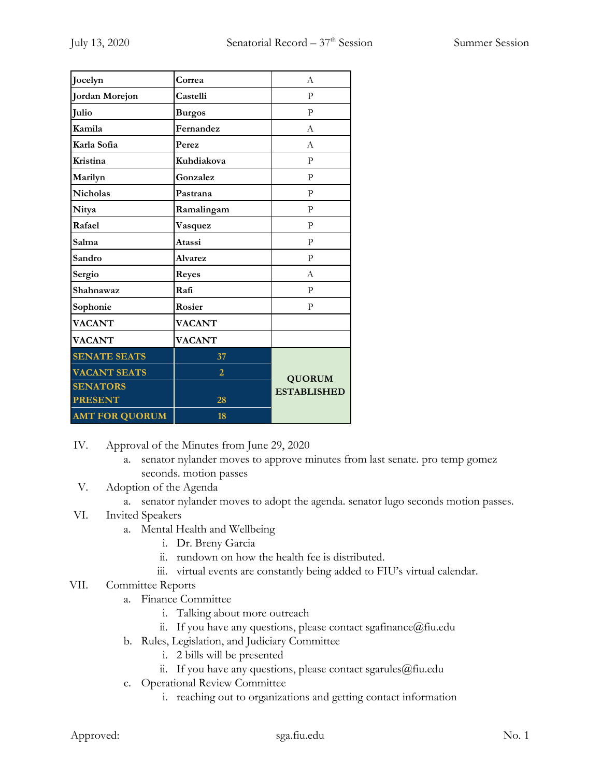| Jocelyn               | Correa         | A                                   |
|-----------------------|----------------|-------------------------------------|
| <b>Jordan Morejon</b> | Castelli       | P                                   |
| Julio                 | <b>Burgos</b>  | P                                   |
| Kamila                | Fernandez      | А                                   |
| Karla Sofia           | Perez          | A                                   |
| Kristina              | Kuhdiakova     | P                                   |
| Marilyn               | Gonzalez       | $\mathbf{P}$                        |
| <b>Nicholas</b>       | Pastrana       | $\mathbf{P}$                        |
| Nitya                 | Ramalingam     | P                                   |
| Rafael                | Vasquez        | P                                   |
| Salma                 | Atassi         | $\mathbf{P}$                        |
| Sandro                | <b>Alvarez</b> | P                                   |
| Sergio                | <b>Reyes</b>   | A                                   |
| Shahnawaz             | Rafi           | P                                   |
| Sophonie              | Rosier         | P                                   |
| <b>VACANT</b>         | <b>VACANT</b>  |                                     |
| <b>VACANT</b>         | <b>VACANT</b>  |                                     |
| <b>SENATE SEATS</b>   | 37             |                                     |
| <b>VACANT SEATS</b>   | $\overline{2}$ | <b>QUORUM</b><br><b>ESTABLISHED</b> |
| <b>SENATORS</b>       |                |                                     |
| <b>PRESENT</b>        | 28             |                                     |
| <b>AMT FOR QUORUM</b> | 18             |                                     |

- IV. Approval of the Minutes from June 29, 2020
	- a. senator nylander moves to approve minutes from last senate. pro temp gomez seconds. motion passes
- V. Adoption of the Agenda
	- a. senator nylander moves to adopt the agenda. senator lugo seconds motion passes.
- VI. Invited Speakers
	- a. Mental Health and Wellbeing
		- i. Dr. Breny Garcia
		- ii. rundown on how the health fee is distributed.
		- iii. virtual events are constantly being added to FIU's virtual calendar.
- VII. Committee Reports
	- a. Finance Committee
		- i. Talking about more outreach
		- ii. If you have any questions, please contact sgafinance@fiu.edu
	- b. Rules, Legislation, and Judiciary Committee
		- i. 2 bills will be presented
		- ii. If you have any questions, please contact sgarules $@$ fiu.edu
	- c. Operational Review Committee
		- i. reaching out to organizations and getting contact information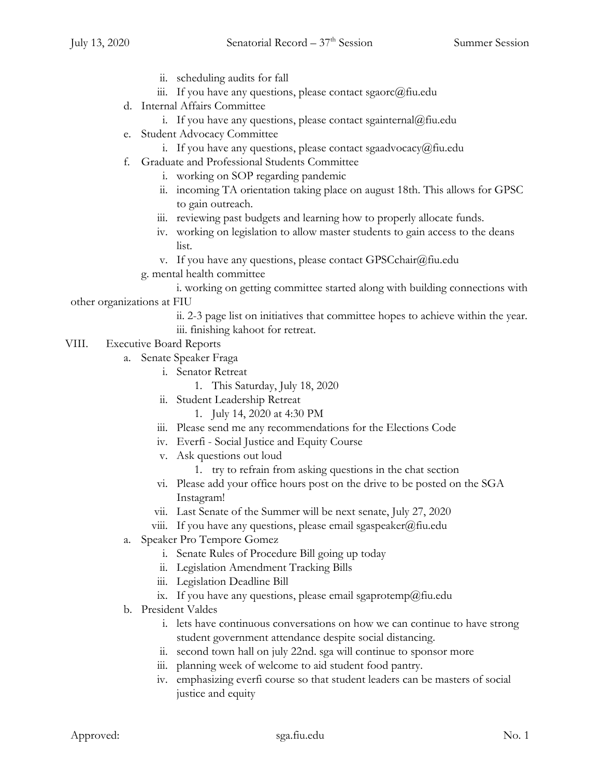- ii. scheduling audits for fall
- iii. If you have any questions, please contact sgaorc $@$ fiu.edu
- d. Internal Affairs Committee
	- i. If you have any questions, please contact sgainternal@fiu.edu
- e. Student Advocacy Committee
	- i. If you have any questions, please contact sgaadvocacy@fiu.edu
- f. Graduate and Professional Students Committee
	- i. working on SOP regarding pandemic
	- ii. incoming TA orientation taking place on august 18th. This allows for GPSC to gain outreach.
	- iii. reviewing past budgets and learning how to properly allocate funds.
	- iv. working on legislation to allow master students to gain access to the deans list.
	- v. If you have any questions, please contact GPSCchair@fiu.edu
	- g. mental health committee

i. working on getting committee started along with building connections with other organizations at FIU

- ii. 2-3 page list on initiatives that committee hopes to achieve within the year. iii. finishing kahoot for retreat.
- VIII. Executive Board Reports
	- a. Senate Speaker Fraga
		- i. Senator Retreat
			- 1. This Saturday, July 18, 2020
		- ii. Student Leadership Retreat
			- 1. July 14, 2020 at 4:30 PM
		- iii. Please send me any recommendations for the Elections Code
		- iv. Everfi Social Justice and Equity Course
		- v. Ask questions out loud
			- 1. try to refrain from asking questions in the chat section
		- vi. Please add your office hours post on the drive to be posted on the SGA Instagram!
		- vii. Last Senate of the Summer will be next senate, July 27, 2020
		- viii. If you have any questions, please email sgaspeaker@fiu.edu
	- a. Speaker Pro Tempore Gomez
		- i. Senate Rules of Procedure Bill going up today
		- ii. Legislation Amendment Tracking Bills
		- iii. Legislation Deadline Bill
		- ix. If you have any questions, please email sgaprotemp@fiu.edu
	- b. President Valdes
		- i. lets have continuous conversations on how we can continue to have strong student government attendance despite social distancing.
		- ii. second town hall on july 22nd. sga will continue to sponsor more
		- iii. planning week of welcome to aid student food pantry.
		- iv. emphasizing everfi course so that student leaders can be masters of social justice and equity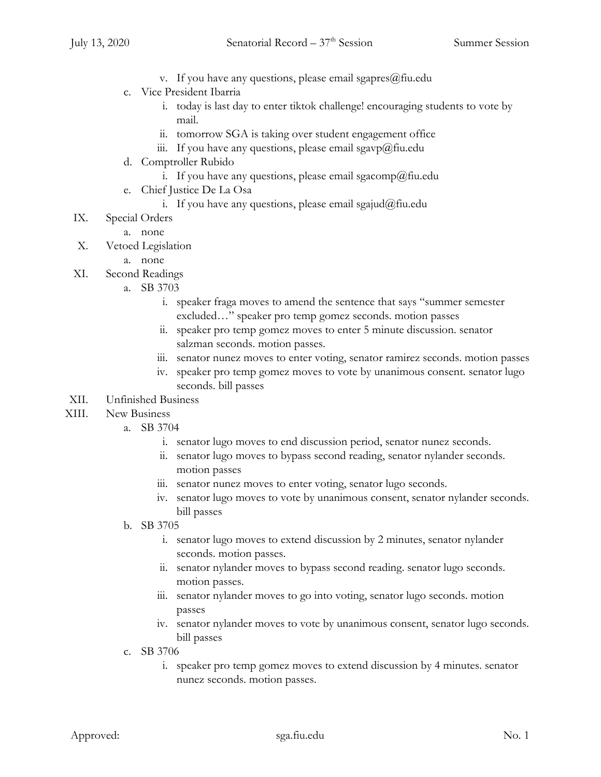- v. If you have any questions, please email sgapres $@$ fiu.edu
- c. Vice President Ibarria
	- i. today is last day to enter tiktok challenge! encouraging students to vote by mail.
	- ii. tomorrow SGA is taking over student engagement office
	- iii. If you have any questions, please email sgavp $\omega$ fiu.edu
- d. Comptroller Rubido
	- i. If you have any questions, please email sgacomp@fiu.edu
- e. Chief Justice De La Osa
	- i. If you have any questions, please email sgajud@fiu.edu
- IX. Special Orders
	- a. none
- X. Vetoed Legislation
	- a. none
- XI. Second Readings
	- a. SB 3703
		- i. speaker fraga moves to amend the sentence that says "summer semester excluded…" speaker pro temp gomez seconds. motion passes
		- ii. speaker pro temp gomez moves to enter 5 minute discussion. senator salzman seconds. motion passes.
		- iii. senator nunez moves to enter voting, senator ramirez seconds. motion passes
		- iv. speaker pro temp gomez moves to vote by unanimous consent. senator lugo seconds. bill passes
- XII. Unfinished Business
- XIII. New Business
	- a. SB 3704
		- i. senator lugo moves to end discussion period, senator nunez seconds.
		- ii. senator lugo moves to bypass second reading, senator nylander seconds. motion passes
		- iii. senator nunez moves to enter voting, senator lugo seconds.
		- iv. senator lugo moves to vote by unanimous consent, senator nylander seconds. bill passes
	- b. SB 3705
		- i. senator lugo moves to extend discussion by 2 minutes, senator nylander seconds. motion passes.
		- ii. senator nylander moves to bypass second reading. senator lugo seconds. motion passes.
		- iii. senator nylander moves to go into voting, senator lugo seconds. motion passes
		- iv. senator nylander moves to vote by unanimous consent, senator lugo seconds. bill passes
	- c. SB 3706
		- i. speaker pro temp gomez moves to extend discussion by 4 minutes. senator nunez seconds. motion passes.